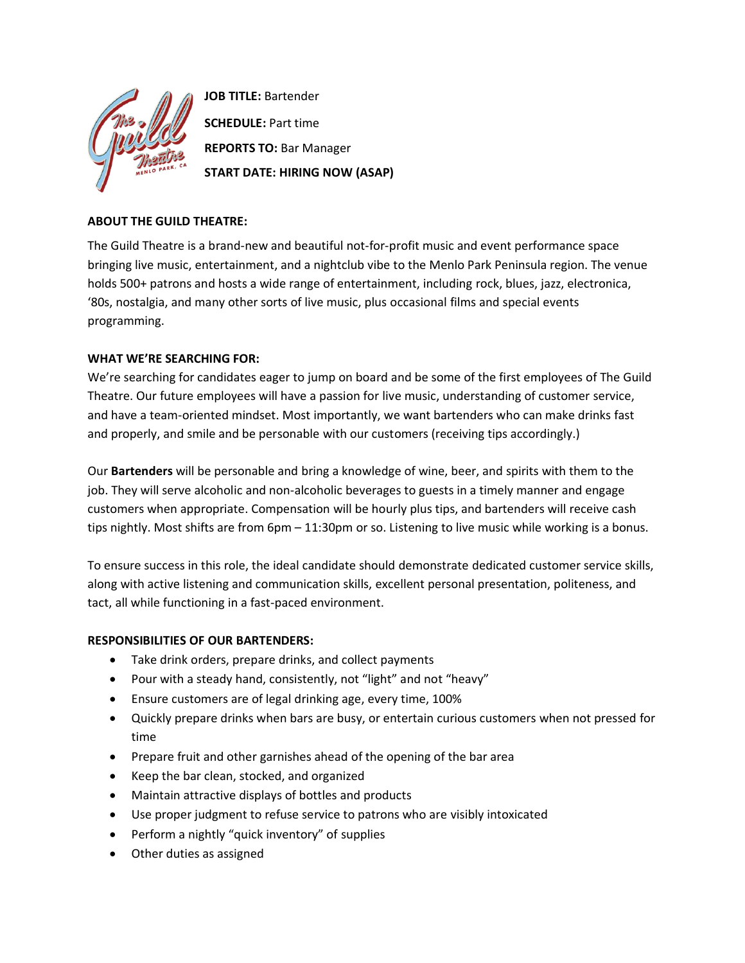

**JOB TITLE:** Bartender **SCHEDULE:** Part time **REPORTS TO:** Bar Manager **START DATE: HIRING NOW (ASAP)**

# **ABOUT THE GUILD THEATRE:**

The Guild Theatre is a brand-new and beautiful not-for-profit music and event performance space bringing live music, entertainment, and a nightclub vibe to the Menlo Park Peninsula region. The venue holds 500+ patrons and hosts a wide range of entertainment, including rock, blues, jazz, electronica, '80s, nostalgia, and many other sorts of live music, plus occasional films and special events programming.

# **WHAT WE'RE SEARCHING FOR:**

We're searching for candidates eager to jump on board and be some of the first employees of The Guild Theatre. Our future employees will have a passion for live music, understanding of customer service, and have a team-oriented mindset. Most importantly, we want bartenders who can make drinks fast and properly, and smile and be personable with our customers (receiving tips accordingly.)

Our **Bartenders** will be personable and bring a knowledge of wine, beer, and spirits with them to the job. They will serve alcoholic and non-alcoholic beverages to guests in a timely manner and engage customers when appropriate. Compensation will be hourly plus tips, and bartenders will receive cash tips nightly. Most shifts are from 6pm – 11:30pm or so. Listening to live music while working is a bonus.

To ensure success in this role, the ideal candidate should demonstrate dedicated customer service skills, along with active listening and communication skills, excellent personal presentation, politeness, and tact, all while functioning in a fast-paced environment.

# **RESPONSIBILITIES OF OUR BARTENDERS:**

- Take drink orders, prepare drinks, and collect payments
- Pour with a steady hand, consistently, not "light" and not "heavy"
- Ensure customers are of legal drinking age, every time, 100%
- Quickly prepare drinks when bars are busy, or entertain curious customers when not pressed for time
- Prepare fruit and other garnishes ahead of the opening of the bar area
- Keep the bar clean, stocked, and organized
- Maintain attractive displays of bottles and products
- Use proper judgment to refuse service to patrons who are visibly intoxicated
- Perform a nightly "quick inventory" of supplies
- Other duties as assigned